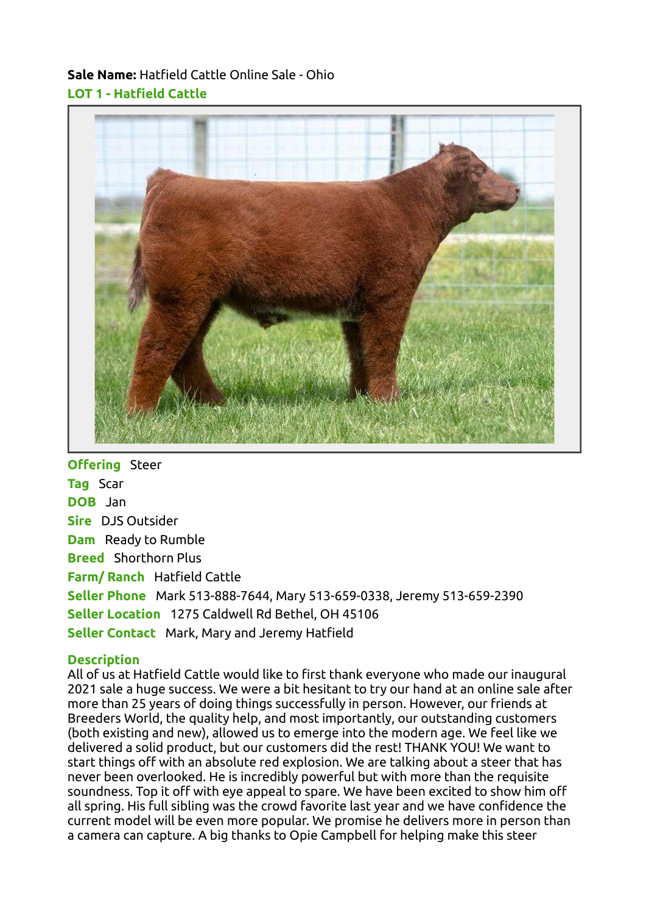## Sale Name: Hatfield Cattle Online Sale - Ohio LOT 1 - Hatfield Cattle



**Offering** Steer **Tag Scar** DOB Jan Sire DJS Outsider Dam Ready to Rumble Breed Shorthorn Plus Farm/ Ranch Hatfield Cattle Seller Phone Mark 513-888-7644, Mary 513-659-0338, Jeremy 513-659-2390 Seller Location 1275 Caldwell Rd Bethel, OH 45106 Seller Contact Mark, Mary and Jeremy Hatfield

## **Description**

All of us at Hatfield Cattle would like to first thank everyone who made our inaugural 2021 sale a huge success. We were a bit hesitant to try our hand at an online sale after more than 25 years of doing things successfully in person. However, our friends at Breeders World, the quality help, and most importantly, our outstanding customers (both existing and new), allowed us to emerge into the modern age. We feel like we delivered a solid product, but our customers did the rest! THANK YOU! We want to start things off with an absolute red explosion. We are talking about a steer that has never been overlooked. He is incredibly powerful but with more than the requisite soundness. Top it off with eye appeal to spare. We have been excited to show him off all spring. His full sibling was the crowd favorite last year and we have confidence the current model will be even more popular. We promise he delivers more in person than a camera can capture. A big thanks to Opie Campbell for helping make this steer